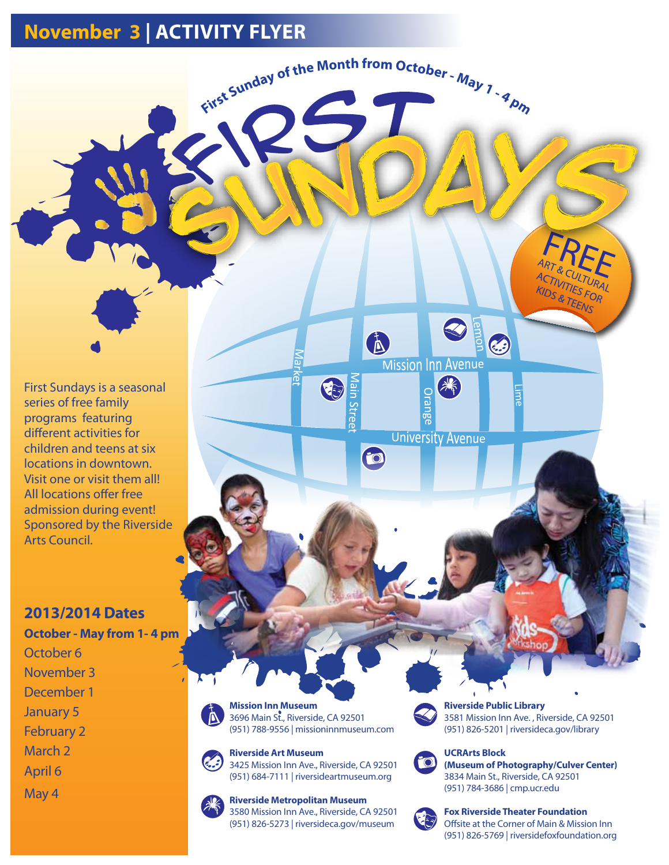## **November 3 | ACTIVITY FLYER**

First Sundays is a seasonal series of free family programs featuring different activities for children and teens at six locations in downtown. Visit one or visit them all! All locations offer free admission during event! Sponsored by the Riverside Arts Council.

## **2013/2014 Dates**

**October - May from 1- 4 pm**  October 6 November 3 December 1 January 5 February 2 March 2 April 6 May 4

**Mission Inn Museum**  3696 Main St., Riverside, CA 92501 (951) 788-9556 | missioninnmuseum.com

ଚ୍ଚି

O

Vlain Stree

## **Riverside Art Museum**

3425 Mission Inn Ave., Riverside, CA 92501 (951) 684-7111 | riversideartmuseum.org

**Riverside Metropolitan Museum**  3580 Mission Inn Ave., Riverside, CA 92501 (951) 826-5273 | riversideca.gov/museum



First Sunday of the Month from October - May 7 - 9 pm

i.

 $\bullet$ 

**Riverside Public Library**  3581 Mission Inn Ave. , Riverside, CA 92501 (951) 826-5201 | riversideca.gov/library

& TEENS

**Emon** 

**Mission Inn Avenue** 

Orange

**University Avenue** 

3



## **UCRArts Block (Museum of Photography/Culver Center)**  3834 Main St., Riverside, CA 92501 (951) 784-3686 | cmp.ucr.edu



## **Fox Riverside Theater Foundation**

Offsite at the Corner of Main & Mission Inn (951) 826-5769 | riversidefoxfoundation.org